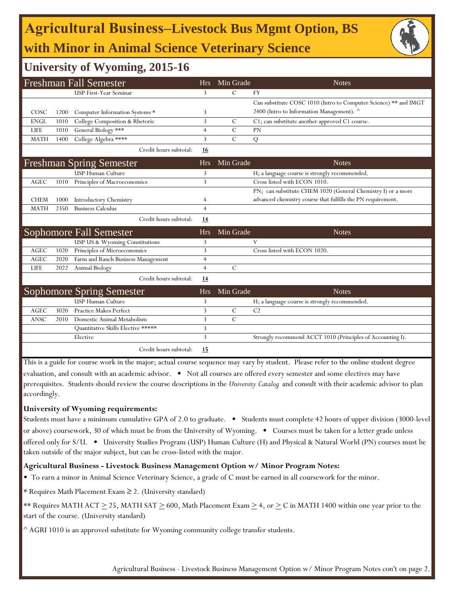# **Agricultural Business‒Livestock Bus Mgmt Option, BS with Minor in Animal Science Veterinary Science**



## **University of Wyoming, 2015-16**

| <b>Freshman Fall Semester</b> |      |                                    | <b>Hrs</b>     | Min Grade     | <b>Notes</b>                                                     |
|-------------------------------|------|------------------------------------|----------------|---------------|------------------------------------------------------------------|
|                               |      | USP First-Year Seminar             | 3              | $\mathcal{C}$ | FY                                                               |
|                               |      |                                    |                |               | Can substitute COSC 1010 (Intro to Computer Science) ** and IMGT |
| COSC                          | 1200 | Computer Information Systems *     | 3              |               | 2400 (Intro to Information Management). ^                        |
| <b>ENGL</b>                   | 1010 | College Composition & Rhetoric     | 3              | $\mathcal{C}$ | C1; can substitute another approved C1 course.                   |
| LIFE                          | 1010 | General Biology ***                | $\overline{4}$ | $\mathbf C$   | PN                                                               |
| <b>MATH</b>                   | 1400 | College Algebra ****               | 3              | $\mathcal{C}$ | Q                                                                |
|                               |      | Credit hours subtotal:             | 16             |               |                                                                  |
|                               |      | <b>Freshman Spring Semester</b>    | <b>Hrs</b>     | Min Grade     | <b>Notes</b>                                                     |
|                               |      | <b>USP Human Culture</b>           | 3              |               | H; a language course is strongly recommended.                    |
| <b>AGEC</b>                   | 1010 | Principles of Macroeconomics       | 3              |               | Cross listed with ECON 1010.                                     |
|                               |      |                                    |                |               | PN; can substitute CHEM 1020 (General Chemistry I) or a more     |
| <b>CHEM</b>                   | 1000 | <b>Introductory Chemistry</b>      | 4              |               | advanced chemistry course that fulfills the PN requirement.      |
| <b>MATH</b>                   | 2350 | <b>Business Calculus</b>           | $\overline{4}$ |               |                                                                  |
|                               |      | Credit hours subtotal:             | 14             |               |                                                                  |
|                               |      | Sophomore Fall Semester            | <b>Hrs</b>     | Min Grade     | <b>Notes</b>                                                     |
|                               |      | USP US & Wyoming Constitutions     | 3              |               | V                                                                |
| <b>AGEC</b>                   | 1020 | Principles of Microeconomics       | 3              |               | Cross listed with ECON 1020.                                     |
| <b>AGEC</b>                   | 2020 | Farm and Ranch Business Management | $\overline{4}$ |               |                                                                  |
| <b>LIFE</b>                   | 2022 | Animal Biology                     | $\overline{4}$ | $\mathcal{C}$ |                                                                  |
|                               |      | Credit hours subtotal:             | 14             |               |                                                                  |
|                               |      | <b>Sophomore Spring Semester</b>   | <b>Hrs</b>     | Min Grade     | <b>Notes</b>                                                     |
|                               |      | USP Human Culture                  | 3              |               | H; a language course is strongly recommended.                    |
| <b>AGEC</b>                   | 3020 | Practice Makes Perfect             | 3              | $\mathbf C$   | C <sub>2</sub>                                                   |
| ANSC                          | 2010 | Domestic Animal Metabolism         | 3              | $\mathcal{C}$ |                                                                  |
|                               |      | Quantitative Skills Elective ***** | 3              |               |                                                                  |
|                               |      | Elective                           | 3              |               | Strongly recommend ACCT 1010 (Principles of Accounting I).       |
|                               |      | Credit hours subtotal:             | 15             |               |                                                                  |

This is a guide for course work in the major; actual course sequence may vary by student. Please refer to the online student degree evaluation, and consult with an academic advisor. • Not all courses are offered every semester and some electives may have prerequisites. Students should review the course descriptions in the *University Catalog* and consult with their academic advisor to plan accordingly.

#### **University of Wyoming requirements:**

Students must have a minimum cumulative GPA of 2.0 to graduate. • Students must complete 42 hours of upper division (3000-level or above) coursework, 30 of which must be from the University of Wyoming. • Courses must be taken for a letter grade unless offered only for S/U. • University Studies Program (USP) Human Culture (H) and Physical & Natural World (PN) courses must be taken outside of the major subject, but can be cross-listed with the major.

#### **Agricultural Business - Livestock Business Management Option w/ Minor Program Notes:**

- To earn a minor in Animal Science Veterinary Science, a grade of C must be earned in all coursework for the minor.
- \* Requires Math Placement Exam ≥ 2. (University standard)
- \*\* Requires MATH ACT  $\geq$  25, MATH SAT  $\geq$  600, Math Placement Exam  $\geq$  4, or  $\geq$  C in MATH 1400 within one year prior to the start of the course. (University standard)
- ^ AGRI 1010 is an approved substitute for Wyoming community college transfer students.